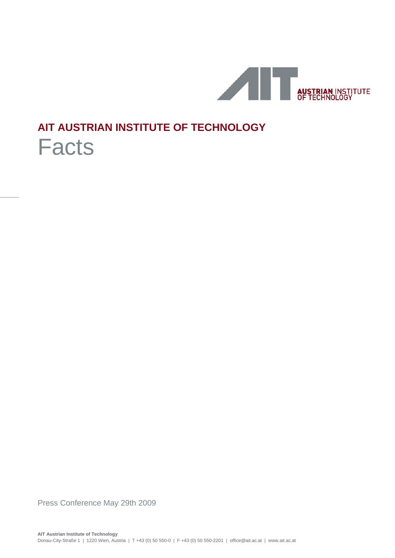

# **AIT AUSTRIAN INSTITUTE OF TECHNOLOGY**

# Facts

Press Conference May 29th 2009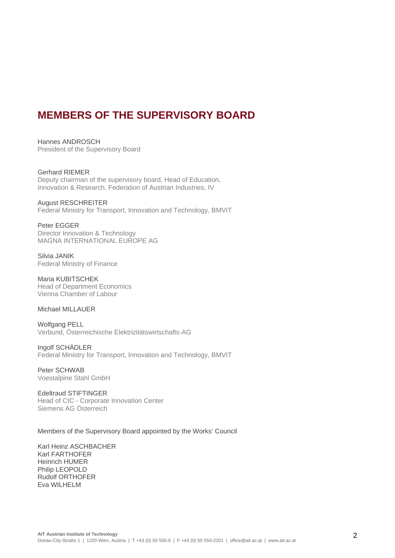## **MEMBERS OF THE SUPERVISORY BOARD**

Hannes ANDROSCH President of the Supervisory Board

Gerhard RIEMER Deputy chairman of the supervisory board, Head of Education, Innovation & Research, Federation of Austrian Industries, IV

August RESCHREITER Federal Ministry for Transport, Innovation and Technology, BMVIT

Peter EGGER Director Innovation & Technology MAGNA INTERNATIONAL EUROPE AG

Silvia JANIK Federal Ministry of Finance

Maria KUBITSCHEK Head of Department Economics Vienna Chamber of Labour

#### Michael MILLAUER

Wolfgang PELL Verbund, Österreichische Elektrizitätswirtschafts-AG

Ingolf SCHÄDLER Federal Ministry for Transport, Innovation and Technology, BMVIT

Peter SCHWAB Voestalpine Stahl GmbH

Edeltraud STIFTINGER Head of CIC - Corporate Innovation Center Siemens AG Österreich

#### Members of the Supervisory Board appointed by the Works' Council

Karl Heinz ASCHBACHER Karl FARTHOFER Heinrich HUMER Philip LEOPOLD Rudolf ORTHOFER Eva WILHELM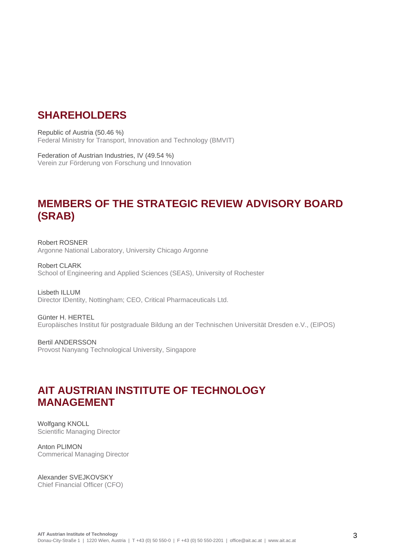### **SHAREHOLDERS**

Republic of Austria (50.46 %) Federal Ministry for Transport, Innovation and Technology (BMVIT)

Federation of Austrian Industries, IV (49.54 %) Verein zur Förderung von Forschung und Innovation

# **MEMBERS OF THE STRATEGIC REVIEW ADVISORY BOARD (SRAB)**

Robert ROSNER Argonne National Laboratory, University Chicago Argonne

Robert CLARK School of Engineering and Applied Sciences (SEAS), University of Rochester

Lisbeth ILLUM Director IDentity, Nottingham; CEO, Critical Pharmaceuticals Ltd.

Günter H. HERTEL Europäisches Institut für postgraduale Bildung an der Technischen Universität Dresden e.V., (EIPOS)

Bertil ANDERSSON Provost Nanyang Technological University, Singapore

## **AIT AUSTRIAN INSTITUTE OF TECHNOLOGY MANAGEMENT**

Wolfgang KNOLL Scientific Managing Director

Anton PLIMON Commerical Managing Director

Alexander SVEJKOVSKY Chief Financial Officer (CFO)